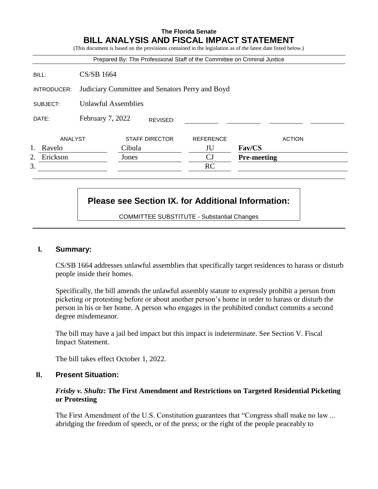## **The Florida Senate BILL ANALYSIS AND FISCAL IMPACT STATEMENT**

(This document is based on the provisions contained in the legislation as of the latest date listed below.) Prepared By: The Professional Staff of the Committee on Criminal Justice BILL: CS/SB 1664 INTRODUCER: Judiciary Committee and Senators Perry and Boyd SUBJECT: Unlawful Assemblies DATE: February 7, 2022 ANALYST STAFF DIRECTOR REFERENCE ACTION 1. Ravelo Cibula JU **Fav/CS** 2. Erickson Jones CJ **Pre-meeting**  $3.$  RC REVISED:

# **Please see Section IX. for Additional Information:**

COMMITTEE SUBSTITUTE - Substantial Changes

### **I. Summary:**

CS/SB 1664 addresses unlawful assemblies that specifically target residences to harass or disturb people inside their homes.

Specifically, the bill amends the unlawful assembly statute to expressly prohibit a person from picketing or protesting before or about another person's home in order to harass or disturb the person in his or her home. A person who engages in the prohibited conduct commits a second degree misdemeanor.

The bill may have a jail bed impact but this impact is indeterminate. See Section V. Fiscal Impact Statement.

The bill takes effect October 1, 2022.

## **II. Present Situation:**

#### *Frisby v. Shultz***: The First Amendment and Restrictions on Targeted Residential Picketing or Protesting**

The First Amendment of the U.S. Constitution guarantees that "Congress shall make no law ... abridging the freedom of speech, or of the press; or the right of the people peaceably to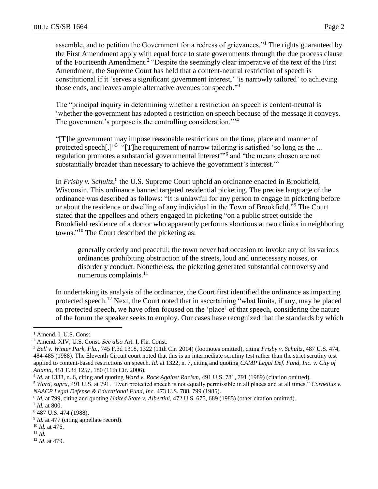assemble, and to petition the Government for a redress of grievances."<sup>1</sup> The rights guaranteed by the First Amendment apply with equal force to state governments through the due process clause of the Fourteenth Amendment.<sup>2</sup> "Despite the seemingly clear imperative of the text of the First Amendment, the Supreme Court has held that a content-neutral restriction of speech is constitutional if it 'serves a significant government interest,' 'is narrowly tailored' to achieving those ends, and leaves ample alternative avenues for speech."<sup>3</sup>

The "principal inquiry in determining whether a restriction on speech is content-neutral is 'whether the government has adopted a restriction on speech because of the message it conveys. The government's purpose is the controlling consideration."<sup>4</sup>

"[T]he government may impose reasonable restrictions on the time, place and manner of protected speech[.]"<sup>5</sup> "[T]he requirement of narrow tailoring is satisfied 'so long as the ... regulation promotes a substantial governmental interest"<sup>6</sup> and "the means chosen are not substantially broader than necessary to achieve the government's interest."<sup>7</sup>

In *Frisby v. Schultz*,<sup>8</sup> the U.S. Supreme Court upheld an ordinance enacted in Brookfield, Wisconsin. This ordinance banned targeted residential picketing. The precise language of the ordinance was described as follows: "It is unlawful for any person to engage in picketing before or about the residence or dwelling of any individual in the Town of Brookfield."<sup>9</sup> The Court stated that the appellees and others engaged in picketing "on a public street outside the Brookfield residence of a doctor who apparently performs abortions at two clinics in neighboring towns."<sup>10</sup> The Court described the picketing as:

generally orderly and peaceful; the town never had occasion to invoke any of its various ordinances prohibiting obstruction of the streets, loud and unnecessary noises, or disorderly conduct. Nonetheless, the picketing generated substantial controversy and numerous complaints. $^{11}$ 

In undertaking its analysis of the ordinance, the Court first identified the ordinance as impacting protected speech.<sup>12</sup> Next, the Court noted that in ascertaining "what limits, if any, may be placed on protected speech, we have often focused on the 'place' of that speech, considering the nature of the forum the speaker seeks to employ. Our cases have recognized that the standards by which

<sup>5</sup> *Ward, supra,* 491 U.S. at 791. "Even protected speech is not equally permissible in all places and at all times." *Cornelius v. NAACP Legal Defense & Educational Fund, Inc.* 473 U.S. 788, 799 (1985).

<sup>&</sup>lt;sup>1</sup> Amend. I, U.S. Const.

<sup>2</sup> Amend. XIV, U.S. Const. *See also* Art. I, Fla. Const.

<sup>3</sup> *Bell v. Winter Park, Fla.,* 745 F.3d 1318, 1322 (11th Cir. 2014) (footnotes omitted), citing *Frisby v. Schultz*, 487 U.S. 474, 484-485 (1988). The Eleventh Circuit court noted that this is an intermediate scrutiny test rather than the strict scrutiny test applied to content-based restrictions on speech*. Id.* at 1322, n. 7, citing and quoting *CAMP Legal Def. Fund, Inc. v. City of Atlanta*, 451 F.3d 1257, 180 (11th Cir. 2006).

<sup>4</sup> *Id.* at 1333, n. 6, citing and quoting *Ward v. Rock Against Racism*, 491 U.S. 781, 791 (1989) (citation omitted).

<sup>6</sup> *Id.* at 799, citing and quoting *United State v. Albertini*, 472 U.S. 675, 689 (1985) (other citation omitted). 7 *Id.* at 800.

<sup>8</sup> 487 U.S. 474 (1988).

<sup>&</sup>lt;sup>9</sup> *Id.* at 477 (citing appellate record).

<sup>10</sup> *Id.* at 476.

<sup>11</sup> *Id.*

<sup>12</sup> *Id*. at 479.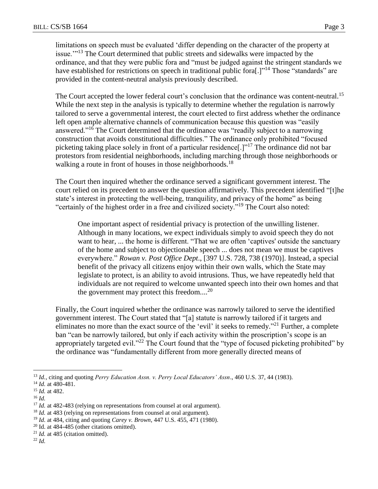limitations on speech must be evaluated 'differ depending on the character of the property at issue."<sup>13</sup> The Court determined that public streets and sidewalks were impacted by the ordinance, and that they were public fora and "must be judged against the stringent standards we have established for restrictions on speech in traditional public fora[.]"<sup>14</sup> Those "standards" are provided in the content-neutral analysis previously described.

The Court accepted the lower federal court's conclusion that the ordinance was content-neutral.<sup>15</sup> While the next step in the analysis is typically to determine whether the regulation is narrowly tailored to serve a governmental interest, the court elected to first address whether the ordinance left open ample alternative channels of communication because this question was "easily answered."<sup>16</sup> The Court determined that the ordinance was "readily subject to a narrowing construction that avoids constitutional difficulties." The ordinance only prohibited "focused picketing taking place solely in front of a particular residence<sup>[1]</sup><sup>17</sup> The ordinance did not bar protestors from residential neighborhoods, including marching through those neighborhoods or walking a route in front of houses in those neighborhoods.<sup>18</sup>

The Court then inquired whether the ordinance served a significant government interest. The court relied on its precedent to answer the question affirmatively. This precedent identified "[t]he state's interest in protecting the well-being, tranquility, and privacy of the home" as being "certainly of the highest order in a free and civilized society."<sup>19</sup> The Court also noted:

One important aspect of residential privacy is protection of the unwilling listener. Although in many locations, we expect individuals simply to avoid speech they do not want to hear, ... the home is different. "That we are often 'captives' outside the sanctuary of the home and subject to objectionable speech ... does not mean we must be captives everywhere." *Rowan v. Post Office Dept*., [397 U.S. 728, 738 (1970)]. Instead, a special benefit of the privacy all citizens enjoy within their own walls, which the State may legislate to protect, is an ability to avoid intrusions. Thus, we have repeatedly held that individuals are not required to welcome unwanted speech into their own homes and that the government may protect this freedom....<sup>20</sup>

Finally, the Court inquired whether the ordinance was narrowly tailored to serve the identified government interest. The Court stated that "[a] statute is narrowly tailored if it targets and eliminates no more than the exact source of the 'evil' it seeks to remedy."<sup>21</sup> Further, a complete ban "can be narrowly tailored, but only if each activity within the proscription's scope is an appropriately targeted evil."<sup>22</sup> The Court found that the "type of focused picketing prohibited" by the ordinance was "fundamentally different from more generally directed means of

- <sup>21</sup> *Id.* at 485 (citation omitted).
- <sup>22</sup> *Id.*

<sup>13</sup> *Id.,* citing and quoting *Perry Education Assn. v. Perry Local Educators' Assn*., 460 U.S. 37, 44 (1983).

<sup>14</sup> *Id.* at 480-481.

<sup>15</sup> *Id.* at 482.

<sup>16</sup> *Id.*

<sup>&</sup>lt;sup>17</sup> *Id.* at 482-483 (relying on representations from counsel at oral argument).

<sup>&</sup>lt;sup>18</sup> *Id.* at 483 (relying on representations from counsel at oral argument).

<sup>19</sup> *Id.* at 484, citing and quoting *Carey v. Brown*, 447 U.S. 455, 471 (1980).

 $20$  Id. at 484-485 (other citations omitted).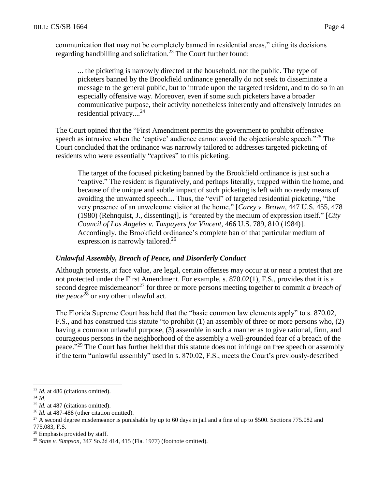communication that may not be completely banned in residential areas," citing its decisions regarding handbilling and solicitation.<sup>23</sup> The Court further found:

... the picketing is narrowly directed at the household, not the public. The type of picketers banned by the Brookfield ordinance generally do not seek to disseminate a message to the general public, but to intrude upon the targeted resident, and to do so in an especially offensive way. Moreover, even if some such picketers have a broader communicative purpose, their activity nonetheless inherently and offensively intrudes on residential privacy.... 24

The Court opined that the "First Amendment permits the government to prohibit offensive speech as intrusive when the 'captive' audience cannot avoid the objectionable speech."<sup>25</sup> The Court concluded that the ordinance was narrowly tailored to addresses targeted picketing of residents who were essentially "captives" to this picketing.

The target of the focused picketing banned by the Brookfield ordinance is just such a "captive." The resident is figuratively, and perhaps literally, trapped within the home, and because of the unique and subtle impact of such picketing is left with no ready means of avoiding the unwanted speech.... Thus, the "evil" of targeted residential picketing, "the very presence of an unwelcome visitor at the home," [*Carey v. Brown*, 447 U.S. 455, 478 (1980) (Rehnquist, J., dissenting)], is "created by the medium of expression itself." [*City Council of Los Angeles v. Taxpayers for Vincent*, 466 U.S. 789, 810 (1984)]. Accordingly, the Brookfield ordinance's complete ban of that particular medium of expression is narrowly tailored.<sup>26</sup>

## *Unlawful Assembly, Breach of Peace, and Disorderly Conduct*

Although protests, at face value, are legal, certain offenses may occur at or near a protest that are not protected under the First Amendment. For example, s. 870.02(1), F.S., provides that it is a second degree misdemeanor<sup>27</sup> for three or more persons meeting together to commit *a breach of the peace*<sup>28</sup> or any other unlawful act.

The Florida Supreme Court has held that the "basic common law elements apply" to s. 870.02, F.S., and has construed this statute "to prohibit (1) an assembly of three or more persons who, (2) having a common unlawful purpose, (3) assemble in such a manner as to give rational, firm, and courageous persons in the neighborhood of the assembly a well-grounded fear of a breach of the peace."<sup>29</sup> The Court has further held that this statute does not infringe on free speech or assembly if the term "unlawful assembly" used in s. 870.02, F.S., meets the Court's previously-described

<sup>23</sup> *Id.* at 486 (citations omitted).

<sup>24</sup> *Id.*

<sup>&</sup>lt;sup>25</sup> *Id.* at 487 (citations omitted).

<sup>26</sup> *Id.* at 487-488 (other citation omitted).

 $27$  A second degree misdemeanor is punishable by up to 60 days in jail and a fine of up to \$500. Sections 775.082 and 775.083, F.S.

<sup>28</sup> Emphasis provided by staff.

<sup>29</sup> *State v. Simpson*, 347 So.2d 414, 415 (Fla. 1977) (footnote omitted).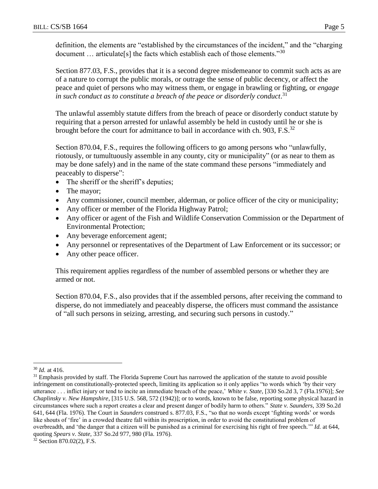Section 877.03, F.S., provides that it is a second degree misdemeanor to commit such acts as are of a nature to corrupt the public morals, or outrage the sense of public decency, or affect the peace and quiet of persons who may witness them, or engage in brawling or fighting, or *engage in such conduct as to constitute a breach of the peace or disorderly conduct*. 31

The unlawful assembly statute differs from the breach of peace or disorderly conduct statute by requiring that a person arrested for unlawful assembly be held in custody until he or she is brought before the court for admittance to bail in accordance with ch. 903, F.S.<sup>32</sup>

Section 870.04, F.S., requires the following officers to go among persons who "unlawfully, riotously, or tumultuously assemble in any county, city or municipality" (or as near to them as may be done safely) and in the name of the state command these persons "immediately and peaceably to disperse":

- The sheriff or the sheriff's deputies;
- The mayor;
- Any commissioner, council member, alderman, or police officer of the city or municipality;
- Any officer or member of the Florida Highway Patrol;
- Any officer or agent of the Fish and Wildlife Conservation Commission or the Department of Environmental Protection;
- Any beverage enforcement agent;
- Any personnel or representatives of the Department of Law Enforcement or its successor; or
- Any other peace officer.

This requirement applies regardless of the number of assembled persons or whether they are armed or not.

Section 870.04, F.S., also provides that if the assembled persons, after receiving the command to disperse, do not immediately and peaceably disperse, the officers must command the assistance of "all such persons in seizing, arresting, and securing such persons in custody."

<sup>30</sup> *Id.* at 416.

<sup>&</sup>lt;sup>31</sup> Emphasis provided by staff. The Florida Supreme Court has narrowed the application of the statute to avoid possible infringement on constitutionally-protected speech, limiting its application so it only applies "to words which 'by their very utterance . . . inflict injury or tend to incite an immediate breach of the peace,' *White v. State*, [330 So.2d 3, 7 (Fla.1976)]; *See Chaplinsky v. New Hampshire*, [315 U.S. 568, 572 (1942)]; or to words, known to be false, reporting some physical hazard in circumstances where such a report creates a clear and present danger of bodily harm to others." *State v. Saunders*, 339 So.2d 641, 644 (Fla. 1976). The Court in *Saunders* construed s. 877.03, F.S., "so that no words except 'fighting words' or words like shouts of 'fire' in a crowded theatre fall within its proscription, in order to avoid the constitutional problem of overbreadth, and 'the danger that a citizen will be punished as a criminal for exercising his right of free speech*.*'" *Id.* at 644, quoting *Spears v. State,* 337 So.2d 977, 980 (Fla. 1976).

 $32$  Section 870.02(2), F.S.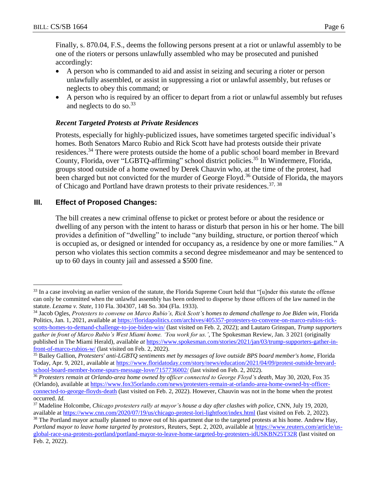$\overline{a}$ 

Finally, s. 870.04, F.S., deems the following persons present at a riot or unlawful assembly to be one of the rioters or persons unlawfully assembled who may be prosecuted and punished accordingly:

- A person who is commanded to aid and assist in seizing and securing a rioter or person unlawfully assembled, or assist in suppressing a riot or unlawful assembly, but refuses or neglects to obey this command; or
- A person who is required by an officer to depart from a riot or unlawful assembly but refuses and neglects to do so.<sup>33</sup>

## *Recent Targeted Protests at Private Residences*

Protests, especially for highly-publicized issues, have sometimes targeted specific individual's homes. Both Senators Marco Rubio and Rick Scott have had protests outside their private residences.<sup>34</sup> There were protests outside the home of a public school board member in Brevard County, Florida, over "LGBTQ-affirming" school district policies.<sup>35</sup> In Windermere, Florida, groups stood outside of a home owned by Derek Chauvin who, at the time of the protest, had been charged but not convicted for the murder of George Floyd.<sup>36</sup> Outside of Florida, the mayors of Chicago and Portland have drawn protests to their private residences.<sup>37, 38</sup>

# **III. Effect of Proposed Changes:**

The bill creates a new criminal offense to picket or protest before or about the residence or dwelling of any person with the intent to harass or disturb that person in his or her home. The bill provides a definition of "dwelling" to include "any building, structure, or portion thereof which is occupied as, or designed or intended for occupancy as, a residence by one or more families." A person who violates this section commits a second degree misdemeanor and may be sentenced to up to 60 days in county jail and assessed a \$500 fine.

<sup>&</sup>lt;sup>33</sup> In a case involving an earlier version of the statute, the Florida Supreme Court held that "[u]nder this statute the offense can only be committed when the unlawful assembly has been ordered to disperse by those officers of the law named in the statute. *Lezama v. State*, 110 Fla. 304307, 148 So. 304 (Fla. 1933).

<sup>&</sup>lt;sup>34</sup> Jacob Ogles, Protesters to convene on Marco Rubio's, Rick Scott's homes to demand challenge to Joe Biden win. Florida Politics*,* Jan. 1, 2021, available at [https://floridapolitics.com/archives/405357-protesters-to-convene-on-marco-rubios-rick](https://floridapolitics.com/archives/405357-protesters-to-convene-on-marco-rubios-rick-scotts-homes-to-demand-challenge-to-joe-biden-win/)[scotts-homes-to-demand-challenge-to-joe-biden-win/](https://floridapolitics.com/archives/405357-protesters-to-convene-on-marco-rubios-rick-scotts-homes-to-demand-challenge-to-joe-biden-win/) (last visited on Feb. 2, 2022); and Lautaro Grinspan, *Trump supporters gather in front of Marco Rubio's West Miami home. 'You work for us.',* The Spokesman Review, Jan. 3 2021 (originally published in The Miami Herald), available *at* [https://www.spokesman.com/stories/2021/jan/03/trump-supporters-gather-in](https://www.spokesman.com/stories/2021/jan/03/trump-supporters-gather-in-front-of-marco-rubios-w/)[front-of-marco-rubios-w/](https://www.spokesman.com/stories/2021/jan/03/trump-supporters-gather-in-front-of-marco-rubios-w/) (last visited on Feb. 2, 2022).

<sup>35</sup> Bailey Gallion, *Protesters' anti-LGBTQ sentiments met by messages of love outside BPS board member's home*, Florida Today, Apr. 9, 2021, available at [https://www.floridatoday.com/story/news/education/2021/04/09/protest-outside-brevard](https://www.floridatoday.com/story/news/education/2021/04/09/protest-outside-brevard-school-board-member-home-spurs-message-love/7157736002/)[school-board-member-home-spurs-message-love/7157736002/](https://www.floridatoday.com/story/news/education/2021/04/09/protest-outside-brevard-school-board-member-home-spurs-message-love/7157736002/) (last visited on Feb. 2, 2022).

<sup>36</sup> *Protesters remain at Orlando-area home owned by officer connected to George Floyd's death,* May 30, 2020, Fox 35 (Orlando), available a[t https://www.fox35orlando.com/news/protesters-remain-at-orlando-area-home-owned-by-officer](https://www.fox35orlando.com/news/protesters-remain-at-orlando-area-home-owned-by-officer-connected-to-george-floyds-death)[connected-to-george-floyds-death](https://www.fox35orlando.com/news/protesters-remain-at-orlando-area-home-owned-by-officer-connected-to-george-floyds-death) (last visited on Feb. 2, 2022). However, Chauvin was not in the home when the protest occurred. *Id.*

<sup>37</sup> Madeline Holcombe, *Chicago protesters rally at mayor's house a day after clashes with police*, CNN, July 19, 2020, available at<https://www.cnn.com/2020/07/19/us/chicago-protest-lori-lightfoot/index.html> (last visited on Feb. 2, 2022).

 $38$  The Portland mayor actually planned to move out of his apartment due to the targeted protests at his home. Andrew Hay, *Portland mayor to leave home targeted by protestors*, Reuters, Sept. 2, 2020*,* available at [https://www.reuters.com/article/us](https://www.reuters.com/article/us-global-race-usa-protests-portland/portland-mayor-to-leave-home-targeted-by-protesters-idUSKBN25T32R)[global-race-usa-protests-portland/portland-mayor-to-leave-home-targeted-by-protesters-idUSKBN25T32R](https://www.reuters.com/article/us-global-race-usa-protests-portland/portland-mayor-to-leave-home-targeted-by-protesters-idUSKBN25T32R) (last visited on Feb. 2, 2022).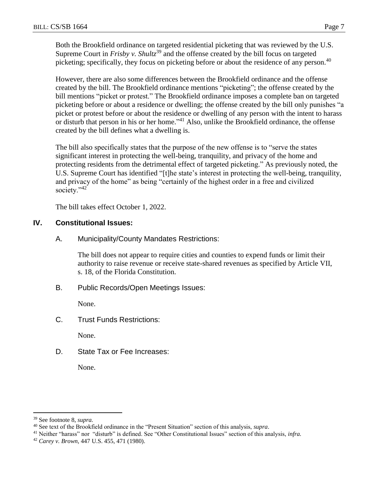Both the Brookfield ordinance on targeted residential picketing that was reviewed by the U.S. Supreme Court in *Frisby v. Shultz*<sup>39</sup> and the offense created by the bill focus on targeted picketing; specifically, they focus on picketing before or about the residence of any person.<sup>40</sup>

However, there are also some differences between the Brookfield ordinance and the offense created by the bill. The Brookfield ordinance mentions "picketing"; the offense created by the bill mentions "picket or protest." The Brookfield ordinance imposes a complete ban on targeted picketing before or about a residence or dwelling; the offense created by the bill only punishes "a picket or protest before or about the residence or dwelling of any person with the intent to harass or disturb that person in his or her home."<sup>41</sup> Also, unlike the Brookfield ordinance, the offense created by the bill defines what a dwelling is.

The bill also specifically states that the purpose of the new offense is to "serve the states significant interest in protecting the well-being, tranquility, and privacy of the home and protecting residents from the detrimental effect of targeted picketing." As previously noted, the U.S. Supreme Court has identified "[t]he state's interest in protecting the well-being, tranquility, and privacy of the home" as being "certainly of the highest order in a free and civilized society."<sup>42</sup>

The bill takes effect October 1, 2022.

## **IV. Constitutional Issues:**

A. Municipality/County Mandates Restrictions:

The bill does not appear to require cities and counties to expend funds or limit their authority to raise revenue or receive state-shared revenues as specified by Article VII, s. 18, of the Florida Constitution.

B. Public Records/Open Meetings Issues:

None.

C. Trust Funds Restrictions:

None.

D. State Tax or Fee Increases:

None.

<sup>39</sup> See footnote 8, *supra.*

<sup>40</sup> See text of the Brookfield ordinance in the "Present Situation" section of this analysis, *supra*.

<sup>41</sup> Neither "harass" nor "disturb" is defined. See "Other Constitutional Issues" section of this analysis, *infra.*

<sup>42</sup> *Carey v. Brown*, 447 U.S. 455, 471 (1980).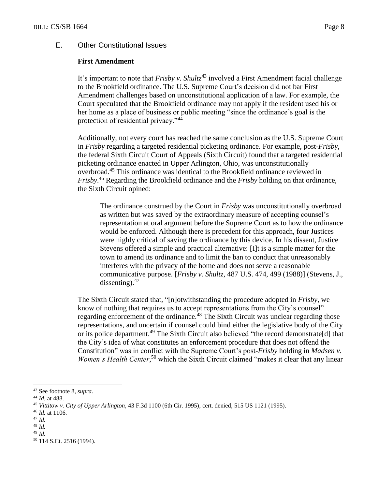## E. Other Constitutional Issues

#### **First Amendment**

It's important to note that *Frisby v. Shultz*<sup>43</sup> involved a First Amendment facial challenge to the Brookfield ordinance. The U.S. Supreme Court's decision did not bar First Amendment challenges based on unconstitutional application of a law. For example, the Court speculated that the Brookfield ordinance may not apply if the resident used his or her home as a place of business or public meeting "since the ordinance's goal is the protection of residential privacy."<sup>44</sup>

Additionally, not every court has reached the same conclusion as the U.S. Supreme Court in *Frisby* regarding a targeted residential picketing ordinance. For example, post-*Frisby*, the federal Sixth Circuit Court of Appeals (Sixth Circuit) found that a targeted residential picketing ordinance enacted in Upper Arlington, Ohio, was unconstitutionally overbroad.<sup>45</sup> This ordinance was identical to the Brookfield ordinance reviewed in *Frisby*. <sup>46</sup> Regarding the Brookfield ordinance and the *Frisby* holding on that ordinance, the Sixth Circuit opined:

The ordinance construed by the Court in *Frisby* was unconstitutionally overbroad as written but was saved by the extraordinary measure of accepting counsel's representation at oral argument before the Supreme Court as to how the ordinance would be enforced. Although there is precedent for this approach, four Justices were highly critical of saving the ordinance by this device. In his dissent, Justice Stevens offered a simple and practical alternative: [I]t is a simple matter for the town to amend its ordinance and to limit the ban to conduct that unreasonably interferes with the privacy of the home and does not serve a reasonable communicative purpose. [*Frisby v. Shultz*, 487 U.S. 474, 499 (1988)] (Stevens, J., dissenting). $47$ 

The Sixth Circuit stated that, "[n]otwithstanding the procedure adopted in *Frisby*, we know of nothing that requires us to accept representations from the City's counsel" regarding enforcement of the ordinance.<sup>48</sup> The Sixth Circuit was unclear regarding those representations, and uncertain if counsel could bind either the legislative body of the City or its police department.<sup>49</sup> The Sixth Circuit also believed "the record demonstrate[d] that the City's idea of what constitutes an enforcement procedure that does not offend the Constitution" was in conflict with the Supreme Court's post-*Frisby* holding in *Madsen v.*  Women's Health Center,<sup>50</sup> which the Sixth Circuit claimed "makes it clear that any linear

- <sup>48</sup> *Id.*
- <sup>49</sup> *Id.*

<sup>43</sup> See footnote 8, *supra.*

<sup>44</sup> *Id.* at 488.

<sup>45</sup> *Vittitow v. City of Upper Arlington*, 43 F.3d 1100 (6th Cir. 1995), cert. denied, 515 US 1121 (1995).

<sup>46</sup> *Id.* at 1106.

<sup>47</sup> *Id.*

<sup>50</sup> 114 S.Ct. 2516 (1994).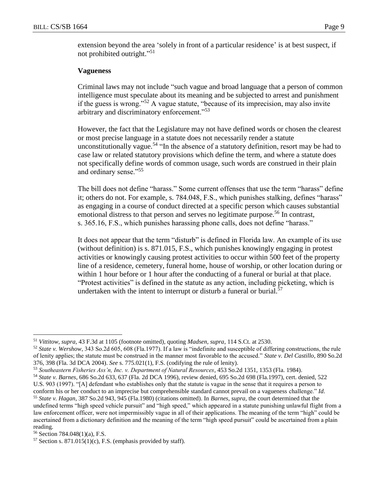extension beyond the area 'solely in front of a particular residence' is at best suspect, if not prohibited outright."<sup>51</sup>

## **Vagueness**

Criminal laws may not include "such vague and broad language that a person of common intelligence must speculate about its meaning and be subjected to arrest and punishment if the guess is wrong."<sup>52</sup> A vague statute, "because of its imprecision, may also invite arbitrary and discriminatory enforcement."<sup>53</sup>

However, the fact that the Legislature may not have defined words or chosen the clearest or most precise language in a statute does not necessarily render a statute unconstitutionally vague.<sup>54</sup> "In the absence of a statutory definition, resort may be had to case law or related statutory provisions which define the term, and where a statute does not specifically define words of common usage, such words are construed in their plain and ordinary sense."<sup>55</sup>

The bill does not define "harass." Some current offenses that use the term "harass" define it; others do not. For example, s. 784.048, F.S., which punishes stalking, defines "harass" as engaging in a course of conduct directed at a specific person which causes substantial emotional distress to that person and serves no legitimate purpose.<sup>56</sup> In contrast, s. 365.16, F.S., which punishes harassing phone calls, does not define "harass."

It does not appear that the term "disturb" is defined in Florida law. An example of its use (without definition) is s. 871.015, F.S., which punishes knowingly engaging in protest activities or knowingly causing protest activities to occur within 500 feet of the property line of a residence, cemetery, funeral home, house of worship, or other location during or within 1 hour before or 1 hour after the conducting of a funeral or burial at that place. "Protest activities" is defined in the statute as any action, including picketing, which is undertaken with the intent to interrupt or disturb a funeral or burial.<sup>57</sup>

<sup>51</sup> *Vittitow, supra,* 43 F.3d at 1105 (footnote omitted), quoting *Madsen, supra*, 114 S.Ct. at 2530.

<sup>52</sup> *State v. Wershow*, 343 So.2d 605, 608 (Fla.1977). If a law is "indefinite and susceptible of differing constructions, the rule of lenity applies; the statute must be construed in the manner most favorable to the accused." *State v. Del Castillo*, 890 So.2d 376, 398 (Fla. 3d DCA 2004). *See* s. 775.021(1), F.S. (codifying the rule of lenity).

<sup>53</sup> *Southeastern Fisheries Ass'n, Inc. v. Department of Natural Resources*, 453 So.2d 1351, 1353 (Fla. 1984).

<sup>54</sup> *State v. Barnes*, 686 So.2d 633, 637 (Fla. 2d DCA 1996), review denied, 695 So.2d 698 (Fla.1997), cert. denied, 522 U.S. 903 (1997). "[A] defendant who establishes only that the statute is vague in the sense that it requires a person to conform his or her conduct to an imprecise but comprehensible standard cannot prevail on a vagueness challenge." *Id*.

<sup>55</sup> *State v. Hagan*, 387 So.2d 943, 945 (Fla.1980) (citations omitted). In *Barnes, supra,* the court determined that the undefined terms "high speed vehicle pursuit" and "high speed," which appeared in a statute punishing unlawful flight from a law enforcement officer, were not impermissibly vague in all of their applications. The meaning of the term "high" could be ascertained from a dictionary definition and the meaning of the term "high speed pursuit" could be ascertained from a plain reading.

<sup>56</sup> Section 784.048(1)(a), F.S.

 $57$  Section s.  $871.015(1)(c)$ , F.S. (emphasis provided by staff).